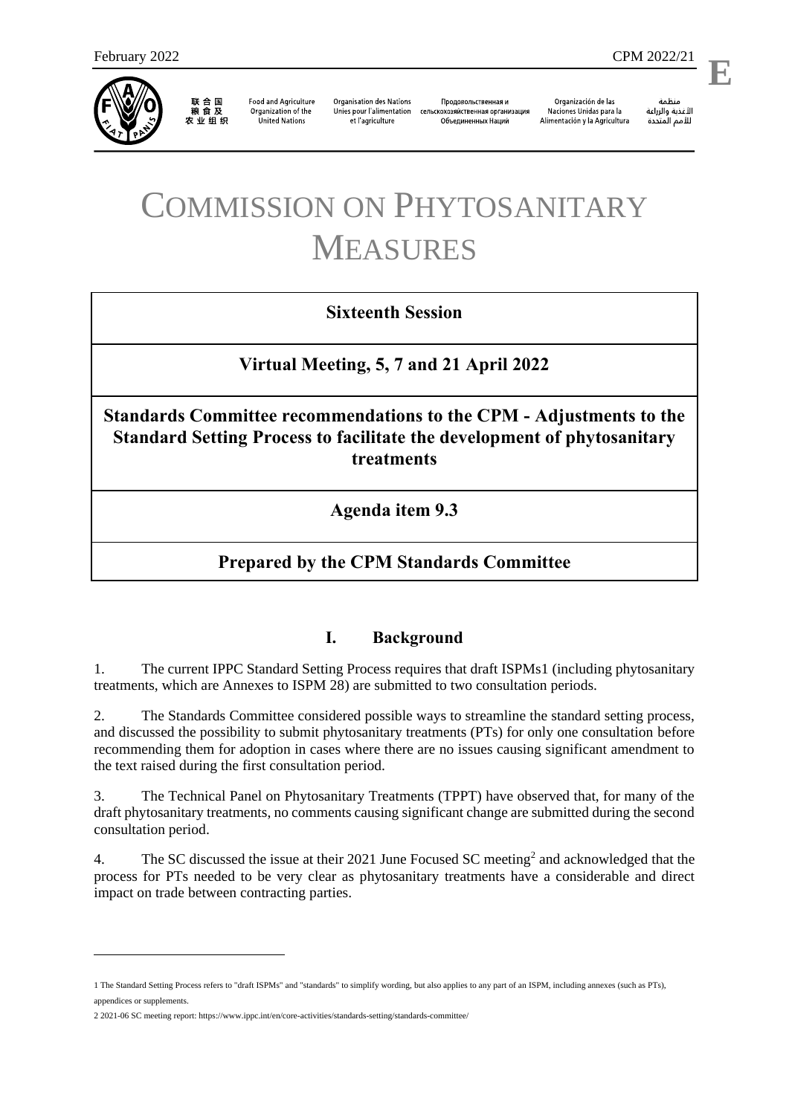

联合国<br>粮食及 农业组织

**Food and Agriculture** Organization of the **United Nations** 

**Organisation des Nations** Unies pour l'alimentation et l'agriculture

Продовольственная и сельскохозяйственная организация Объелиненных Наций

Organización de las Naciones Unidas para la Alimentación y la Agricultura

منظمة الأغذية والزراعة للأمم المتحدة

l,

# COMMISSION ON PHYTOSANITARY MEASURES

# **Sixteenth Session**

**Virtual Meeting, 5, 7 and 21 April 2022**

**Standards Committee recommendations to the CPM - Adjustments to the Standard Setting Process to facilitate the development of phytosanitary treatments**

**Agenda item 9.3**

# **Prepared by the CPM Standards Committee**

## **I. Background**

1. The current IPPC Standard Setting Process requires that draft ISPMs1 (including phytosanitary treatments, which are Annexes to ISPM 28) are submitted to two consultation periods.

2. The Standards Committee considered possible ways to streamline the standard setting process, and discussed the possibility to submit phytosanitary treatments (PTs) for only one consultation before recommending them for adoption in cases where there are no issues causing significant amendment to the text raised during the first consultation period.

3. The Technical Panel on Phytosanitary Treatments (TPPT) have observed that, for many of the draft phytosanitary treatments, no comments causing significant change are submitted during the second consultation period.

4. The SC discussed the issue at their 2021 June Focused SC meeting<sup>2</sup> and acknowledged that the process for PTs needed to be very clear as phytosanitary treatments have a considerable and direct impact on trade between contracting parties.

1

<sup>1</sup> The Standard Setting Process refers to "draft ISPMs" and "standards" to simplify wording, but also applies to any part of an ISPM, including annexes (such as PTs), appendices or supplements.

<sup>2</sup> 2021-06 SC meeting report[: https://www.ippc.int/en/core-activities/standards-setting/standards-committee/](https://www.ippc.int/en/core-activities/standards-setting/standards-committee/)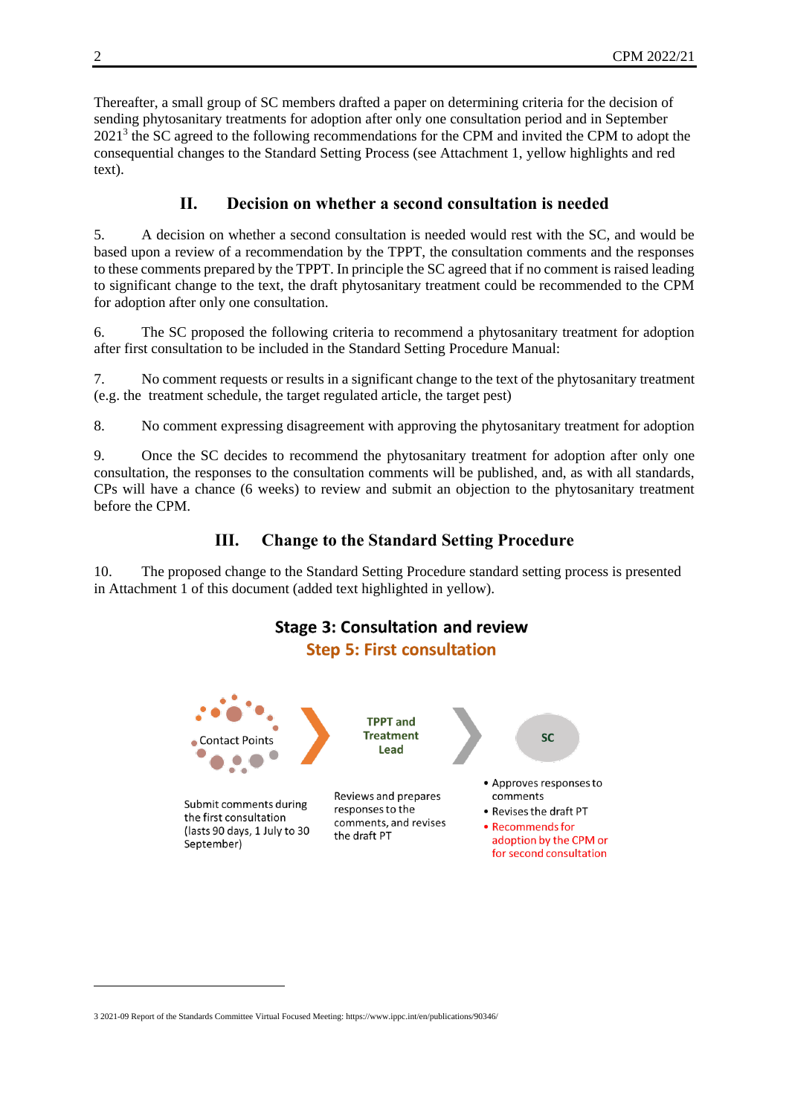Thereafter, a small group of SC members drafted a paper on determining criteria for the decision of sending phytosanitary treatments for adoption after only one consultation period and in September 2021<sup>3</sup> the SC agreed to the following recommendations for the CPM and invited the CPM to adopt the consequential changes to the Standard Setting Process (see Attachment 1, yellow highlights and red text).

## **II. Decision on whether a second consultation is needed**

5. A decision on whether a second consultation is needed would rest with the SC, and would be based upon a review of a recommendation by the TPPT, the consultation comments and the responses to these comments prepared by the TPPT. In principle the SC agreed that if no comment is raised leading to significant change to the text, the draft phytosanitary treatment could be recommended to the CPM for adoption after only one consultation.

6. The SC proposed the following criteria to recommend a phytosanitary treatment for adoption after first consultation to be included in the Standard Setting Procedure Manual:

7. No comment requests or results in a significant change to the text of the phytosanitary treatment (e.g. the treatment schedule, the target regulated article, the target pest)

8. No comment expressing disagreement with approving the phytosanitary treatment for adoption

9. Once the SC decides to recommend the phytosanitary treatment for adoption after only one consultation, the responses to the consultation comments will be published, and, as with all standards, CPs will have a chance (6 weeks) to review and submit an objection to the phytosanitary treatment before the CPM.

# **III. Change to the Standard Setting Procedure**

10. The proposed change to the Standard Setting Procedure standard setting process is presented in Attachment 1 of this document (added text highlighted in yellow).



1

<sup>3</sup> 2021-09 Report of the Standards Committee Virtual Focused Meeting[: https://www.ippc.int/en/publications/90346/](https://www.ippc.int/en/publications/90346/)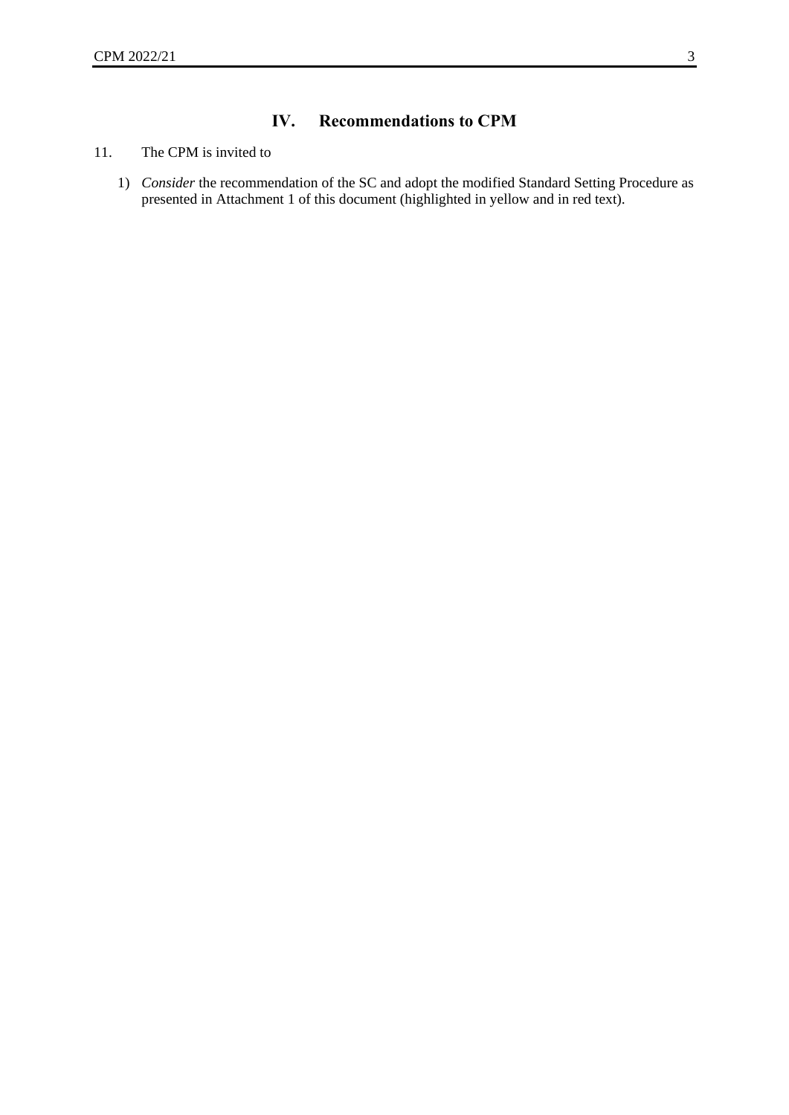# **IV. Recommendations to CPM**

#### 11. The CPM is invited to

1) *Consider* the recommendation of the SC and adopt the modified Standard Setting Procedure as presented in Attachment 1 of this document (highlighted in yellow and in red text).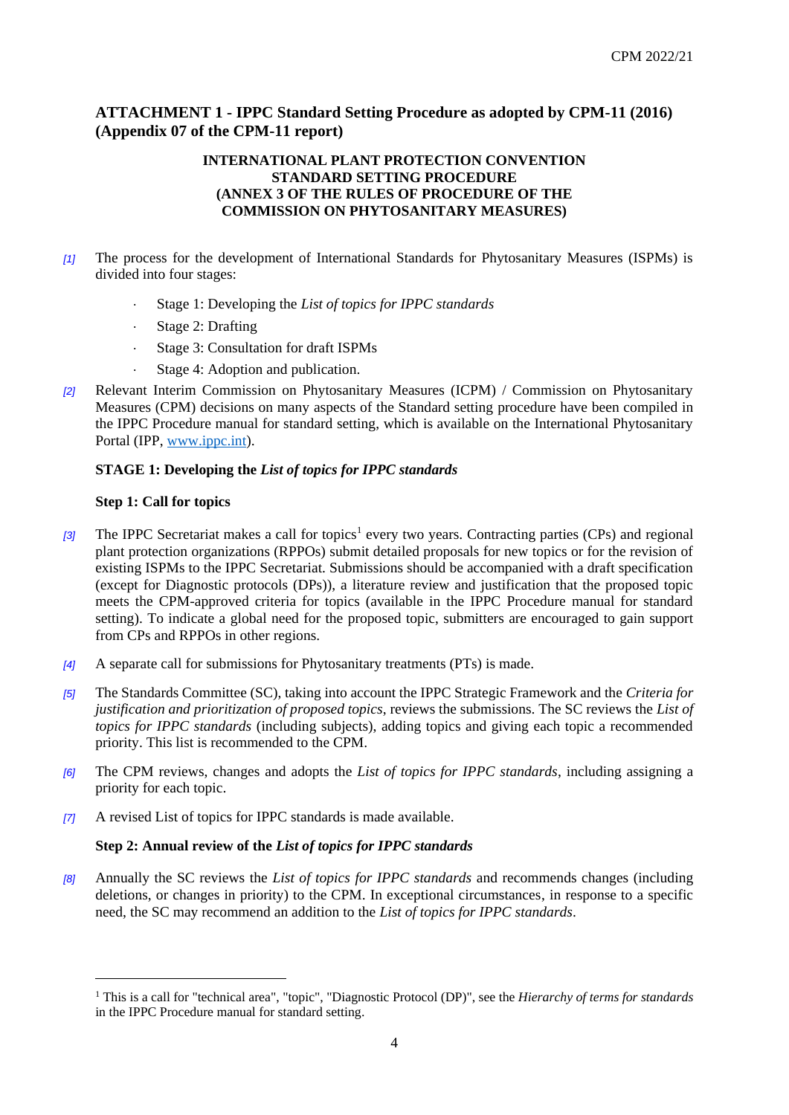## **ATTACHMENT 1 - IPPC Standard Setting Procedure as adopted by CPM-11 (2016) (Appendix 07 of the CPM-11 report)**

#### **INTERNATIONAL PLANT PROTECTION CONVENTION STANDARD SETTING PROCEDURE (ANNEX 3 OF THE RULES OF PROCEDURE OF THE COMMISSION ON PHYTOSANITARY MEASURES)**

- *[1]* The process for the development of International Standards for Phytosanitary Measures (ISPMs) is divided into four stages:
	- Stage 1: Developing the *List of topics for IPPC standards*
	- Stage 2: Drafting
	- Stage 3: Consultation for draft ISPMs
	- Stage 4: Adoption and publication.
- *[2]* Relevant Interim Commission on Phytosanitary Measures (ICPM) / Commission on Phytosanitary Measures (CPM) decisions on many aspects of the Standard setting procedure have been compiled in the IPPC Procedure manual for standard setting, which is available on the International Phytosanitary Portal (IPP, [www.ippc.int\)](http://www.ippc.int/).

#### **STAGE 1: Developing the** *List of topics for IPPC standards*

#### **Step 1: Call for topics**

1

- [3] The IPPC Secretariat makes a call for topics<sup>1</sup> every two years. Contracting parties (CPs) and regional plant protection organizations (RPPOs) submit detailed proposals for new topics or for the revision of existing ISPMs to the IPPC Secretariat. Submissions should be accompanied with a draft specification (except for Diagnostic protocols (DPs)), a literature review and justification that the proposed topic meets the CPM-approved criteria for topics (available in the IPPC Procedure manual for standard setting). To indicate a global need for the proposed topic, submitters are encouraged to gain support from CPs and RPPOs in other regions.
- *[4]* A separate call for submissions for Phytosanitary treatments (PTs) is made.
- *[5]* The Standards Committee (SC), taking into account the IPPC Strategic Framework and the *Criteria for justification and prioritization of proposed topics*, reviews the submissions. The SC reviews the *List of topics for IPPC standards* (including subjects), adding topics and giving each topic a recommended priority. This list is recommended to the CPM.
- *[6]* The CPM reviews, changes and adopts the *List of topics for IPPC standards*, including assigning a priority for each topic.
- *[7]* A revised List of topics for IPPC standards is made available.

#### **Step 2: Annual review of the** *List of topics for IPPC standards*

*[8]* Annually the SC reviews the *List of topics for IPPC standards* and recommends changes (including deletions, or changes in priority) to the CPM. In exceptional circumstances, in response to a specific need, the SC may recommend an addition to the *List of topics for IPPC standards*.

<sup>&</sup>lt;sup>1</sup> This is a call for "technical area", "topic", "Diagnostic Protocol (DP)", see the *Hierarchy of terms for standards* in the IPPC Procedure manual for standard setting.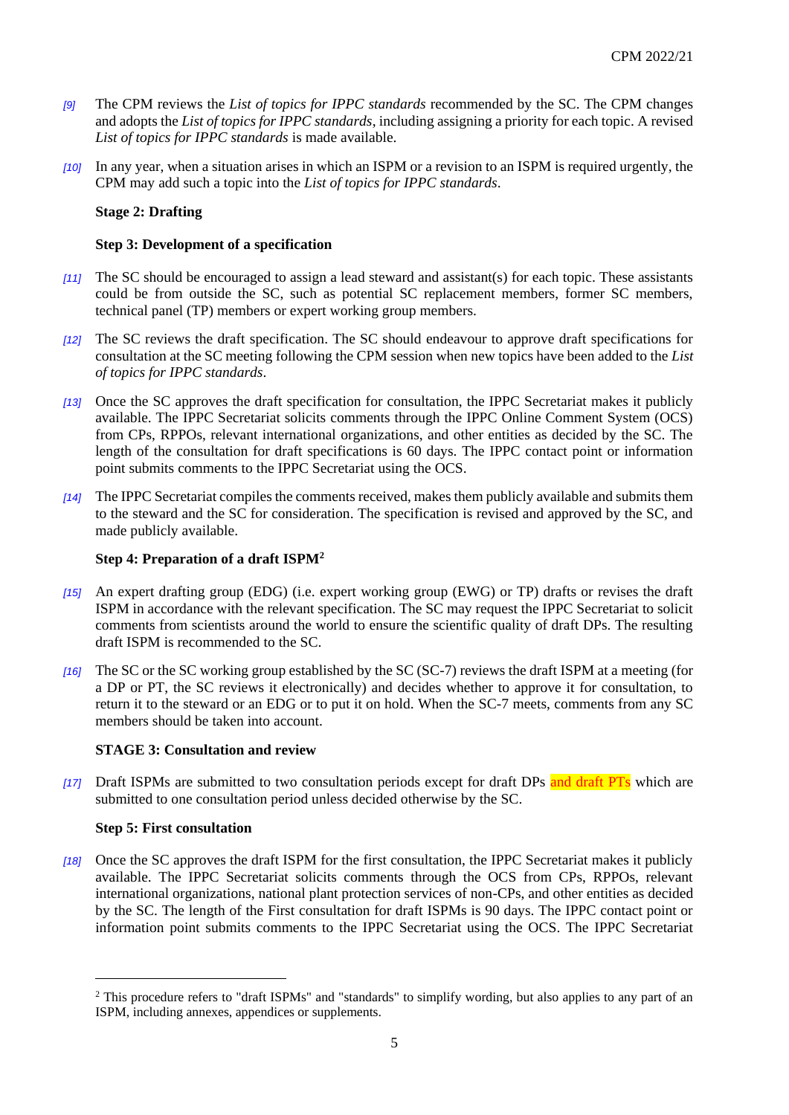- *[9]* The CPM reviews the *List of topics for IPPC standards* recommended by the SC. The CPM changes and adopts the *List of topics for IPPC standards*, including assigning a priority for each topic. A revised *List of topics for IPPC standards* is made available.
- *[10]* In any year, when a situation arises in which an ISPM or a revision to an ISPM is required urgently, the CPM may add such a topic into the *List of topics for IPPC standards*.

#### **Stage 2: Drafting**

#### **Step 3: Development of a specification**

- *[11]* The SC should be encouraged to assign a lead steward and assistant(s) for each topic. These assistants could be from outside the SC, such as potential SC replacement members, former SC members, technical panel (TP) members or expert working group members.
- *[12]* The SC reviews the draft specification. The SC should endeavour to approve draft specifications for consultation at the SC meeting following the CPM session when new topics have been added to the *List of topics for IPPC standards*.
- *[13]* Once the SC approves the draft specification for consultation, the IPPC Secretariat makes it publicly available. The IPPC Secretariat solicits comments through the IPPC Online Comment System (OCS) from CPs, RPPOs, relevant international organizations, and other entities as decided by the SC. The length of the consultation for draft specifications is 60 days. The IPPC contact point or information point submits comments to the IPPC Secretariat using the OCS.
- *[14]* The IPPC Secretariat compiles the comments received, makes them publicly available and submits them to the steward and the SC for consideration. The specification is revised and approved by the SC, and made publicly available.

#### **Step 4: Preparation of a draft ISPM<sup>2</sup>**

- *[15]* An expert drafting group (EDG) (i.e. expert working group (EWG) or TP) drafts or revises the draft ISPM in accordance with the relevant specification. The SC may request the IPPC Secretariat to solicit comments from scientists around the world to ensure the scientific quality of draft DPs. The resulting draft ISPM is recommended to the SC.
- *[16]* The SC or the SC working group established by the SC (SC-7) reviews the draft ISPM at a meeting (for a DP or PT, the SC reviews it electronically) and decides whether to approve it for consultation, to return it to the steward or an EDG or to put it on hold. When the SC-7 meets, comments from any SC members should be taken into account.

#### **STAGE 3: Consultation and review**

*[17]* Draft ISPMs are submitted to two consultation periods except for draft DPs and draft PTs which are submitted to one consultation period unless decided otherwise by the SC.

#### **Step 5: First consultation**

1

*[18]* Once the SC approves the draft ISPM for the first consultation, the IPPC Secretariat makes it publicly available. The IPPC Secretariat solicits comments through the OCS from CPs, RPPOs, relevant international organizations, national plant protection services of non-CPs, and other entities as decided by the SC. The length of the First consultation for draft ISPMs is 90 days. The IPPC contact point or information point submits comments to the IPPC Secretariat using the OCS. The IPPC Secretariat

<sup>&</sup>lt;sup>2</sup> This procedure refers to "draft ISPMs" and "standards" to simplify wording, but also applies to any part of an ISPM, including annexes, appendices or supplements.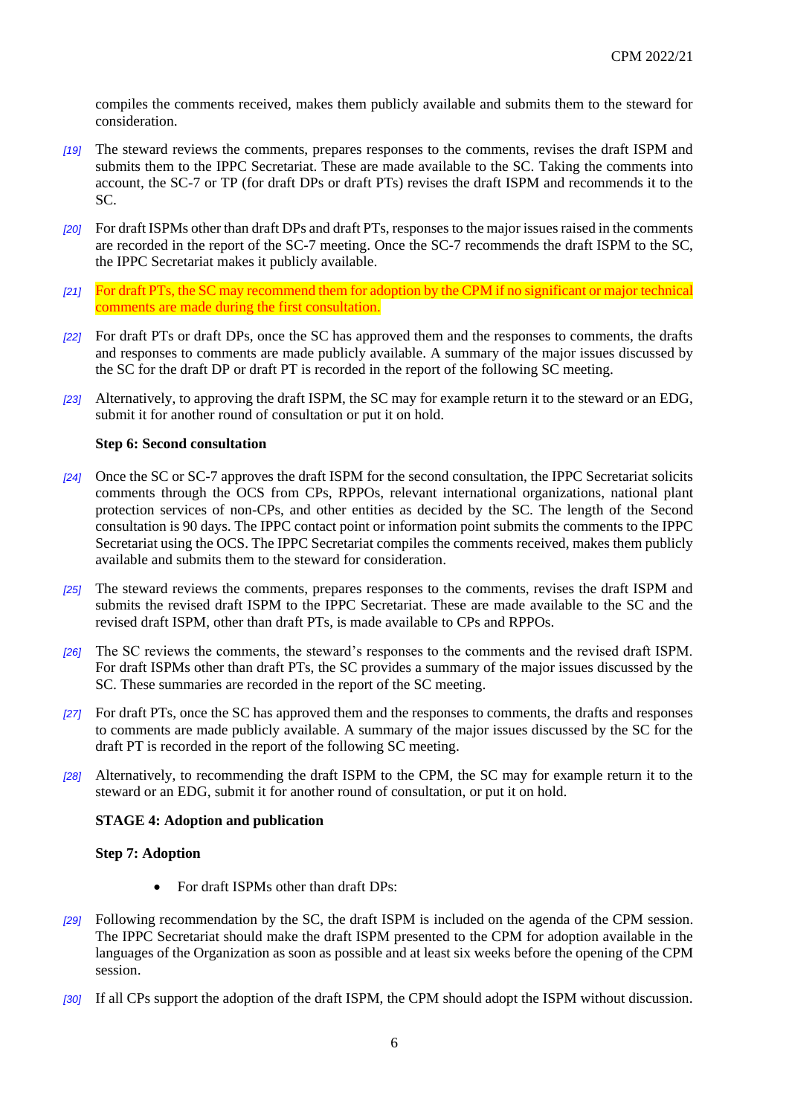compiles the comments received, makes them publicly available and submits them to the steward for consideration.

- *[19]* The steward reviews the comments, prepares responses to the comments, revises the draft ISPM and submits them to the IPPC Secretariat. These are made available to the SC. Taking the comments into account, the SC-7 or TP (for draft DPs or draft PTs) revises the draft ISPM and recommends it to the SC.
- *[20]* For draft ISPMs other than draft DPs and draft PTs, responses to the major issues raised in the comments are recorded in the report of the SC-7 meeting. Once the SC-7 recommends the draft ISPM to the SC, the IPPC Secretariat makes it publicly available.
- *[21]* For draft PTs, the SC may recommend them for adoption by the CPM if no significant or major technical comments are made during the first consultation.
- *[22]* For draft PTs or draft DPs, once the SC has approved them and the responses to comments, the drafts and responses to comments are made publicly available. A summary of the major issues discussed by the SC for the draft DP or draft PT is recorded in the report of the following SC meeting.
- *[23]* Alternatively, to approving the draft ISPM, the SC may for example return it to the steward or an EDG, submit it for another round of consultation or put it on hold.

#### **Step 6: Second consultation**

- *[24]* Once the SC or SC-7 approves the draft ISPM for the second consultation, the IPPC Secretariat solicits comments through the OCS from CPs, RPPOs, relevant international organizations, national plant protection services of non-CPs, and other entities as decided by the SC. The length of the Second consultation is 90 days. The IPPC contact point or information point submits the comments to the IPPC Secretariat using the OCS. The IPPC Secretariat compiles the comments received, makes them publicly available and submits them to the steward for consideration.
- *[25]* The steward reviews the comments, prepares responses to the comments, revises the draft ISPM and submits the revised draft ISPM to the IPPC Secretariat. These are made available to the SC and the revised draft ISPM, other than draft PTs, is made available to CPs and RPPOs.
- *[26]* The SC reviews the comments, the steward's responses to the comments and the revised draft ISPM. For draft ISPMs other than draft PTs, the SC provides a summary of the major issues discussed by the SC. These summaries are recorded in the report of the SC meeting.
- *[27]* For draft PTs, once the SC has approved them and the responses to comments, the drafts and responses to comments are made publicly available. A summary of the major issues discussed by the SC for the draft PT is recorded in the report of the following SC meeting.
- *[28]* Alternatively, to recommending the draft ISPM to the CPM, the SC may for example return it to the steward or an EDG, submit it for another round of consultation, or put it on hold.

#### **STAGE 4: Adoption and publication**

#### **Step 7: Adoption**

- For draft ISPMs other than draft DPs:
- *[29]* Following recommendation by the SC, the draft ISPM is included on the agenda of the CPM session. The IPPC Secretariat should make the draft ISPM presented to the CPM for adoption available in the languages of the Organization as soon as possible and at least six weeks before the opening of the CPM session.
- *[30]* If all CPs support the adoption of the draft ISPM, the CPM should adopt the ISPM without discussion.